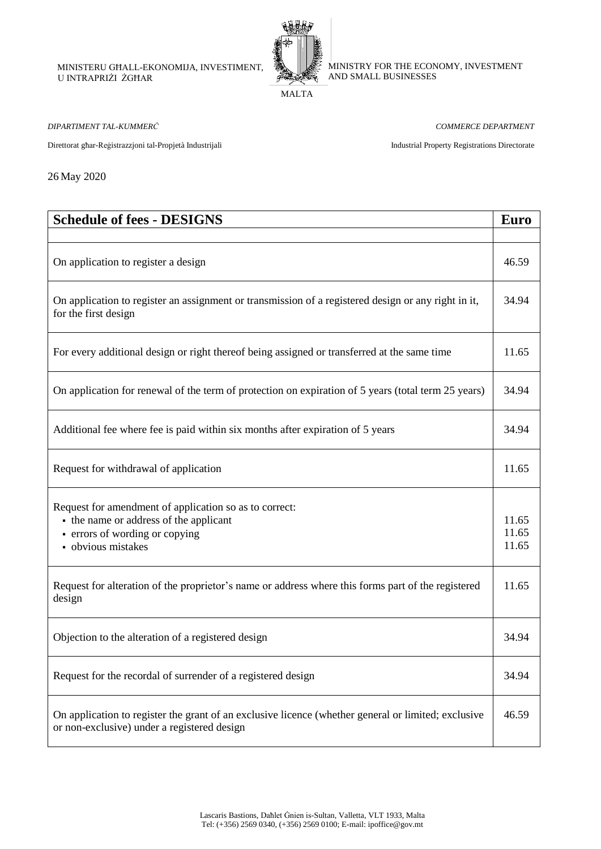MINISTERU GĦALL-EKONOMIJA, INVESTIMENT, U INTRAPRIŻI ŻGĦAR



MINISTRY FOR THE ECONOMY, INVESTMENT AND SMALL BUSINESSES

MALTA

*DIPARTIMENT TAL-KUMMERĊ COMMERCE DEPARTMENT*

Direttorat għar-Reġistrazzjoni tal-Propjetà Industrijali Industrial Property Registrations Directorate

26 May 2020

| <b>Schedule of fees - DESIGNS</b>                                                                                                                        | <b>Euro</b>             |
|----------------------------------------------------------------------------------------------------------------------------------------------------------|-------------------------|
|                                                                                                                                                          |                         |
| On application to register a design                                                                                                                      | 46.59                   |
| On application to register an assignment or transmission of a registered design or any right in it,<br>for the first design                              | 34.94                   |
| For every additional design or right thereof being assigned or transferred at the same time                                                              | 11.65                   |
| On application for renewal of the term of protection on expiration of 5 years (total term 25 years)                                                      | 34.94                   |
| Additional fee where fee is paid within six months after expiration of 5 years                                                                           | 34.94                   |
| Request for withdrawal of application                                                                                                                    | 11.65                   |
| Request for amendment of application so as to correct:<br>- the name or address of the applicant<br>• errors of wording or copying<br>- obvious mistakes | 11.65<br>11.65<br>11.65 |
| Request for alteration of the proprietor's name or address where this forms part of the registered<br>design                                             | 11.65                   |
| Objection to the alteration of a registered design                                                                                                       | 34.94                   |
| Request for the recordal of surrender of a registered design                                                                                             | 34.94                   |
| On application to register the grant of an exclusive licence (whether general or limited; exclusive<br>or non-exclusive) under a registered design       | 46.59                   |